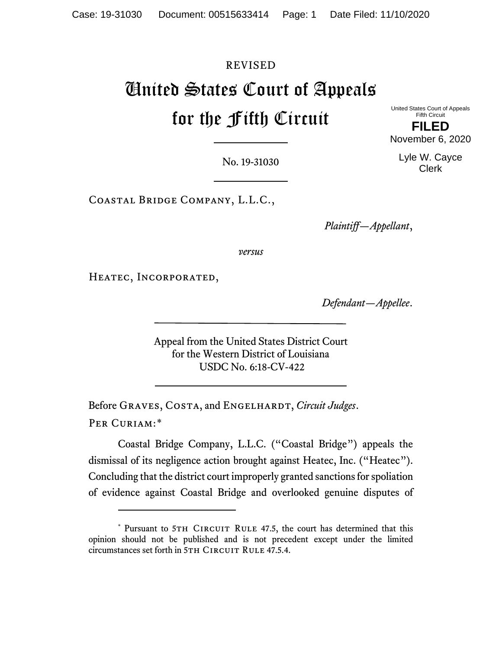# REVISED United States Court of Appeals for the Fifth Circuit

United States Court of Appeals Fifth Circuit **FILED** November 6, 2020

> Lyle W. Cayce Clerk

No. 19-31030

Coastal Bridge Company, L.L.C.,

*Plaintiff—Appellant*,

*versus*

Heatec, Incorporated,

*Defendant—Appellee*.

Appeal from the United States District Court for the Western District of Louisiana USDC No. 6:18-CV-422

Before GRAVES, COSTA, and ENGELHARDT, *Circuit Judges*. PER CURIAM:[\\*](#page-0-0)

Coastal Bridge Company, L.L.C. ("Coastal Bridge") appeals the dismissal of its negligence action brought against Heatec, Inc. ("Heatec"). Concluding that the district court improperly granted sanctions for spoliation of evidence against Coastal Bridge and overlooked genuine disputes of

<span id="page-0-0"></span><sup>\*</sup> Pursuant to 5TH CIRCUIT RULE 47.5, the court has determined that this opinion should not be published and is not precedent except under the limited circumstances set forth in 5TH CIRCUIT RULE 47.5.4.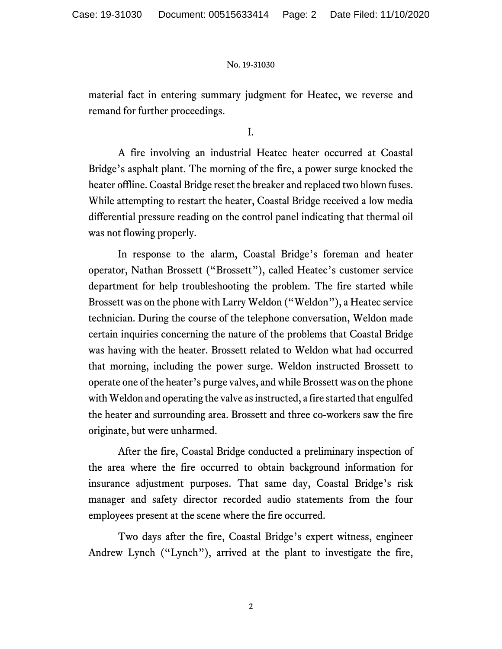material fact in entering summary judgment for Heatec, we reverse and remand for further proceedings.

I.

A fire involving an industrial Heatec heater occurred at Coastal Bridge's asphalt plant. The morning of the fire, a power surge knocked the heater offline. Coastal Bridge reset the breaker and replaced two blown fuses. While attempting to restart the heater, Coastal Bridge received a low media differential pressure reading on the control panel indicating that thermal oil was not flowing properly.

In response to the alarm, Coastal Bridge's foreman and heater operator, Nathan Brossett ("Brossett"), called Heatec's customer service department for help troubleshooting the problem. The fire started while Brossett was on the phone with Larry Weldon ("Weldon"), a Heatec service technician. During the course of the telephone conversation, Weldon made certain inquiries concerning the nature of the problems that Coastal Bridge was having with the heater. Brossett related to Weldon what had occurred that morning, including the power surge. Weldon instructed Brossett to operate one of the heater's purge valves, and while Brossett was on the phone with Weldon and operating the valve as instructed, a fire started that engulfed the heater and surrounding area. Brossett and three co-workers saw the fire originate, but were unharmed.

After the fire, Coastal Bridge conducted a preliminary inspection of the area where the fire occurred to obtain background information for insurance adjustment purposes. That same day, Coastal Bridge's risk manager and safety director recorded audio statements from the four employees present at the scene where the fire occurred.

Two days after the fire, Coastal Bridge's expert witness, engineer Andrew Lynch ("Lynch"), arrived at the plant to investigate the fire,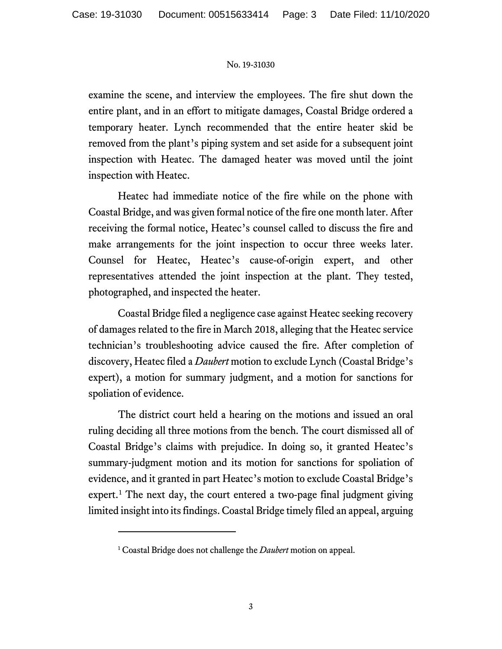examine the scene, and interview the employees. The fire shut down the entire plant, and in an effort to mitigate damages, Coastal Bridge ordered a temporary heater. Lynch recommended that the entire heater skid be removed from the plant's piping system and set aside for a subsequent joint inspection with Heatec. The damaged heater was moved until the joint inspection with Heatec.

Heatec had immediate notice of the fire while on the phone with Coastal Bridge, and was given formal notice of the fire one month later. After receiving the formal notice, Heatec's counsel called to discuss the fire and make arrangements for the joint inspection to occur three weeks later. Counsel for Heatec, Heatec's cause-of-origin expert, and other representatives attended the joint inspection at the plant. They tested, photographed, and inspected the heater.

Coastal Bridge filed a negligence case against Heatec seeking recovery of damages related to the fire in March 2018, alleging that the Heatec service technician's troubleshooting advice caused the fire. After completion of discovery, Heatec filed a *Daubert* motion to exclude Lynch (Coastal Bridge's expert), a motion for summary judgment, and a motion for sanctions for spoliation of evidence.

The district court held a hearing on the motions and issued an oral ruling deciding all three motions from the bench. The court dismissed all of Coastal Bridge's claims with prejudice. In doing so, it granted Heatec's summary-judgment motion and its motion for sanctions for spoliation of evidence, and it granted in part Heatec's motion to exclude Coastal Bridge's expert.<sup>[1](#page-2-0)</sup> The next day, the court entered a two-page final judgment giving limited insight into its findings. Coastal Bridge timely filed an appeal, arguing

<span id="page-2-0"></span><sup>1</sup> Coastal Bridge does not challenge the *Daubert* motion on appeal.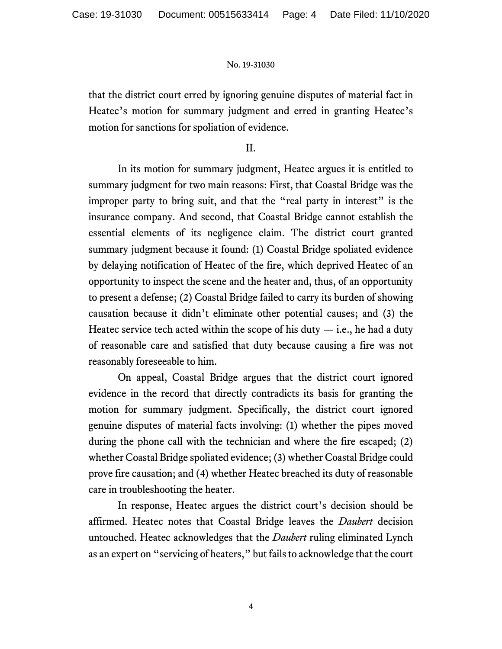that the district court erred by ignoring genuine disputes of material fact in Heatec's motion for summary judgment and erred in granting Heatec's motion for sanctions for spoliation of evidence.

II.

In its motion for summary judgment, Heatec argues it is entitled to summary judgment for two main reasons: First, that Coastal Bridge was the improper party to bring suit, and that the "real party in interest" is the insurance company. And second, that Coastal Bridge cannot establish the essential elements of its negligence claim. The district court granted summary judgment because it found: (1) Coastal Bridge spoliated evidence by delaying notification of Heatec of the fire, which deprived Heatec of an opportunity to inspect the scene and the heater and, thus, of an opportunity to present a defense; (2) Coastal Bridge failed to carry its burden of showing causation because it didn't eliminate other potential causes; and (3) the Heatec service tech acted within the scope of his duty  $-$  i.e., he had a duty of reasonable care and satisfied that duty because causing a fire was not reasonably foreseeable to him.

On appeal, Coastal Bridge argues that the district court ignored evidence in the record that directly contradicts its basis for granting the motion for summary judgment. Specifically, the district court ignored genuine disputes of material facts involving: (1) whether the pipes moved during the phone call with the technician and where the fire escaped; (2) whether Coastal Bridge spoliated evidence; (3) whether Coastal Bridge could prove fire causation; and (4) whether Heatec breached its duty of reasonable care in troubleshooting the heater.

In response, Heatec argues the district court's decision should be affirmed. Heatec notes that Coastal Bridge leaves the *Daubert* decision untouched. Heatec acknowledges that the *Daubert* ruling eliminated Lynch as an expert on "servicing of heaters," but fails to acknowledge that the court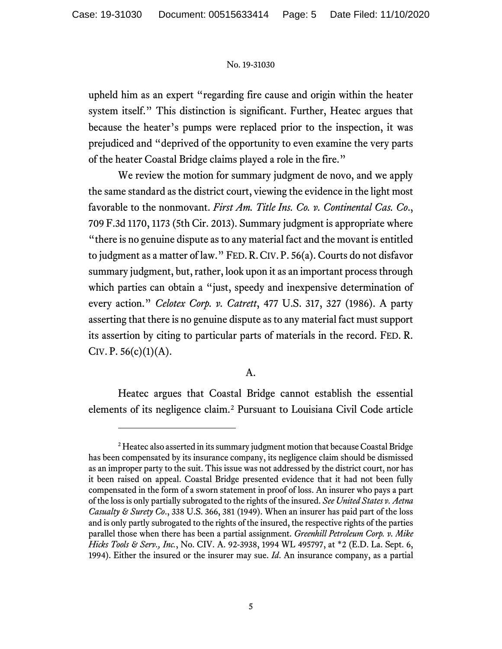upheld him as an expert "regarding fire cause and origin within the heater system itself." This distinction is significant. Further, Heatec argues that because the heater's pumps were replaced prior to the inspection, it was prejudiced and "deprived of the opportunity to even examine the very parts of the heater Coastal Bridge claims played a role in the fire."

We review the motion for summary judgment de novo, and we apply the same standard as the district court, viewing the evidence in the light most favorable to the nonmovant. *First Am. Title Ins. Co. v. Continental Cas. Co*., 709 F.3d 1170, 1173 (5th Cir. 2013). Summary judgment is appropriate where "there is no genuine dispute as to any material fact and the movant is entitled to judgment as a matter of law." FED.R.CIV. P. 56(a). Courts do not disfavor summary judgment, but, rather, look upon it as an important process through which parties can obtain a "just, speedy and inexpensive determination of every action." *Celotex Corp. v. Catrett*, 477 U.S. 317, 327 (1986). A party asserting that there is no genuine dispute as to any material fact must support its assertion by citing to particular parts of materials in the record. FED. R. CIV. P.  $56(c)(1)(A)$ .

# A.

Heatec argues that Coastal Bridge cannot establish the essential elements of its negligence claim.[2](#page-4-0) Pursuant to Louisiana Civil Code article

<span id="page-4-0"></span><sup>&</sup>lt;sup>2</sup> Heatec also asserted in its summary judgment motion that because Coastal Bridge has been compensated by its insurance company, its negligence claim should be dismissed as an improper party to the suit. This issue was not addressed by the district court, nor has it been raised on appeal. Coastal Bridge presented evidence that it had not been fully compensated in the form of a sworn statement in proof of loss. An insurer who pays a part of the loss is only partially subrogated to the rights of the insured. *See United States v. Aetna Casualty & Surety Co*., 338 U.S. 366, 381 (1949). When an insurer has paid part of the loss and is only partly subrogated to the rights of the insured, the respective rights of the parties parallel those when there has been a partial assignment. *Greenhill Petroleum Corp. v. Mike Hicks Tools & Serv., Inc.*, No. CIV. A. 92-3938, 1994 WL 495797, at \*2 (E.D. La. Sept. 6, 1994). Either the insured or the insurer may sue. *Id*. An insurance company, as a partial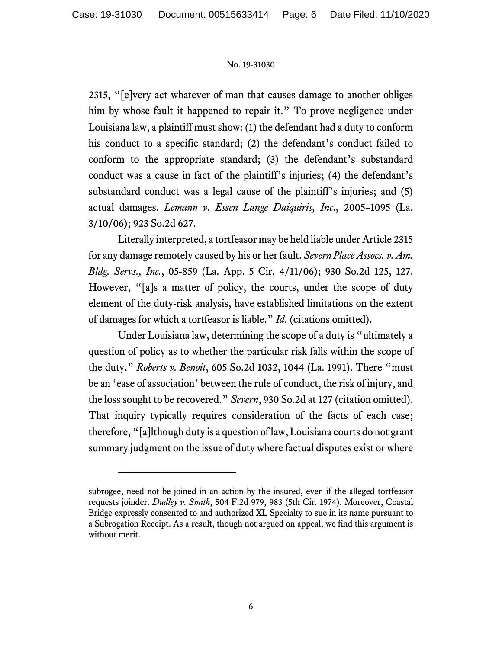2315, "[e]very act whatever of man that causes damage to another obliges him by whose fault it happened to repair it." To prove negligence under Louisiana law, a plaintiff must show: (1) the defendant had a duty to conform his conduct to a specific standard; (2) the defendant's conduct failed to conform to the appropriate standard; (3) the defendant's substandard conduct was a cause in fact of the plaintiff's injuries; (4) the defendant's substandard conduct was a legal cause of the plaintiff's injuries; and (5) actual damages. *Lemann v. Essen Lange Daiquiris, Inc*., 2005–1095 (La. 3/10/06); 923 So.2d 627.

Literally interpreted, a tortfeasor may be held liable under Article 2315 for any damage remotely caused by his or her fault. *Severn Place Assocs. v. Am. Bldg. Servs., Inc.*, 05-859 (La. App. 5 Cir. 4/11/06); 930 So.2d 125, 127. However, "[a]s a matter of policy, the courts, under the scope of duty element of the duty-risk analysis, have established limitations on the extent of damages for which a tortfeasor is liable." *Id*. (citations omitted).

Under Louisiana law, determining the scope of a duty is "ultimately a question of policy as to whether the particular risk falls within the scope of the duty." *Roberts v. Benoit*, 605 So.2d 1032, 1044 (La. 1991). There "must be an 'ease of association' between the rule of conduct, the risk of injury, and the loss sought to be recovered." *Severn*, 930 So.2d at 127 (citation omitted). That inquiry typically requires consideration of the facts of each case; therefore, "[a]lthough duty is a question of law, Louisiana courts do not grant summary judgment on the issue of duty where factual disputes exist or where

subrogee, need not be joined in an action by the insured, even if the alleged tortfeasor requests joinder. *Dudley v. Smith*, 504 F.2d 979, 983 (5th Cir. 1974). Moreover, Coastal Bridge expressly consented to and authorized XL Specialty to sue in its name pursuant to a Subrogation Receipt. As a result, though not argued on appeal, we find this argument is without merit.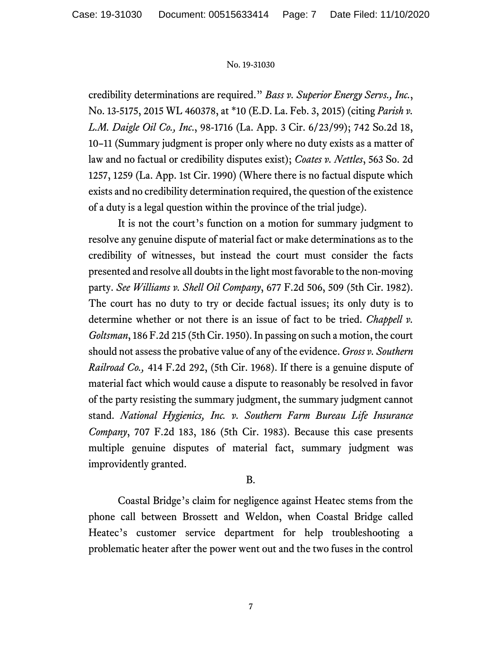credibility determinations are required." *Bass v. Superior Energy Servs., Inc.*, No. 13-5175, 2015 WL 460378, at \*10 (E.D. La. Feb. 3, 2015) (citing *Parish v. L.M. Daigle Oil Co., Inc*., 98-1716 (La. App. 3 Cir. 6/23/99); 742 So.2d 18, 10–11 (Summary judgment is proper only where no duty exists as a matter of law and no factual or credibility disputes exist); *Coates v. Nettles*, 563 So. 2d 1257, 1259 (La. App. 1st Cir. 1990) (Where there is no factual dispute which exists and no credibility determination required, the question of the existence of a duty is a legal question within the province of the trial judge).

It is not the court's function on a motion for summary judgment to resolve any genuine dispute of material fact or make determinations as to the credibility of witnesses, but instead the court must consider the facts presented and resolve all doubts in the light most favorable to the non-moving party. *See Williams v. Shell Oil Company*, 677 F.2d 506, 509 (5th Cir. 1982). The court has no duty to try or decide factual issues; its only duty is to determine whether or not there is an issue of fact to be tried. *Chappell v. Goltsman*, 186 F.2d 215 (5th Cir. 1950). In passing on such a motion, the court should not assess the probative value of any of the evidence. *Gross v. Southern Railroad Co.,* 414 F.2d 292, (5th Cir. 1968). If there is a genuine dispute of material fact which would cause a dispute to reasonably be resolved in favor of the party resisting the summary judgment, the summary judgment cannot stand. *National Hygienics, Inc. v. Southern Farm Bureau Life Insurance Company*, 707 F.2d 183, 186 (5th Cir. 1983). Because this case presents multiple genuine disputes of material fact, summary judgment was improvidently granted.

# B.

Coastal Bridge's claim for negligence against Heatec stems from the phone call between Brossett and Weldon, when Coastal Bridge called Heatec's customer service department for help troubleshooting a problematic heater after the power went out and the two fuses in the control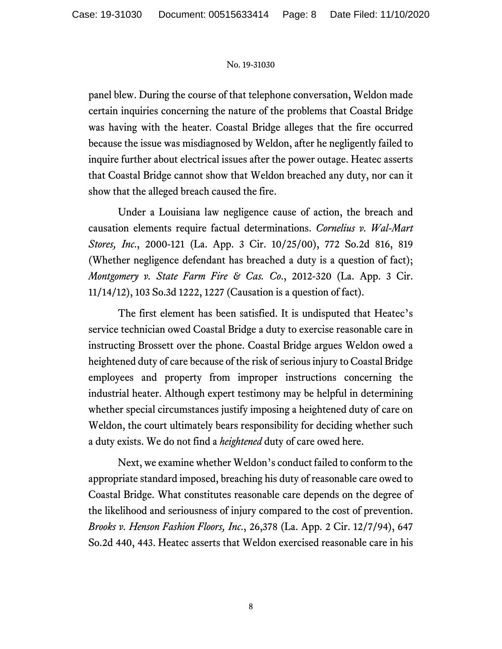panel blew. During the course of that telephone conversation, Weldon made certain inquiries concerning the nature of the problems that Coastal Bridge was having with the heater. Coastal Bridge alleges that the fire occurred because the issue was misdiagnosed by Weldon, after he negligently failed to inquire further about electrical issues after the power outage. Heatec asserts that Coastal Bridge cannot show that Weldon breached any duty, nor can it show that the alleged breach caused the fire.

Under a Louisiana law negligence cause of action, the breach and causation elements require factual determinations. *Cornelius v. Wal-Mart Stores, Inc*., 2000-121 (La. App. 3 Cir. 10/25/00), 772 So.2d 816, 819 (Whether negligence defendant has breached a duty is a question of fact); *Montgomery v. State Farm Fire & Cas. Co*., 2012-320 (La. App. 3 Cir. 11/14/12), 103 So.3d 1222, 1227 (Causation is a question of fact).

The first element has been satisfied. It is undisputed that Heatec's service technician owed Coastal Bridge a duty to exercise reasonable care in instructing Brossett over the phone. Coastal Bridge argues Weldon owed a heightened duty of care because of the risk of serious injury to Coastal Bridge employees and property from improper instructions concerning the industrial heater. Although expert testimony may be helpful in determining whether special circumstances justify imposing a heightened duty of care on Weldon, the court ultimately bears responsibility for deciding whether such a duty exists. We do not find a *heightened* duty of care owed here.

Next, we examine whether Weldon's conduct failed to conform to the appropriate standard imposed, breaching his duty of reasonable care owed to Coastal Bridge. What constitutes reasonable care depends on the degree of the likelihood and seriousness of injury compared to the cost of prevention. *Brooks v. Henson Fashion Floors, Inc*., 26,378 (La. App. 2 Cir. 12/7/94), 647 So.2d 440, 443. Heatec asserts that Weldon exercised reasonable care in his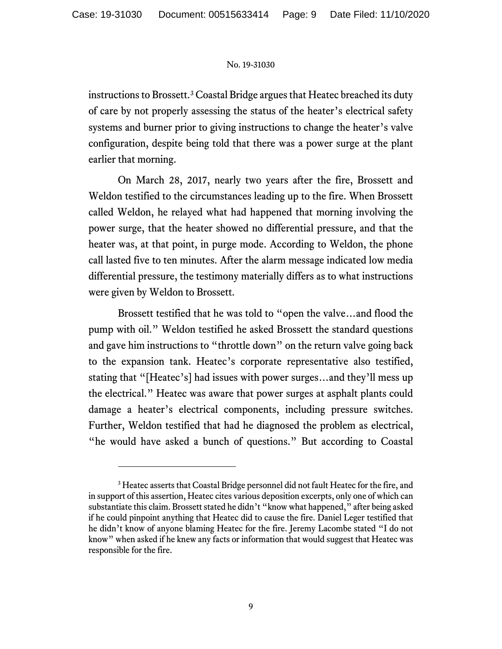instructions to Brossett.[3](#page-8-0) Coastal Bridge argues that Heatec breached its duty of care by not properly assessing the status of the heater's electrical safety systems and burner prior to giving instructions to change the heater's valve configuration, despite being told that there was a power surge at the plant earlier that morning.

On March 28, 2017, nearly two years after the fire, Brossett and Weldon testified to the circumstances leading up to the fire. When Brossett called Weldon, he relayed what had happened that morning involving the power surge, that the heater showed no differential pressure, and that the heater was, at that point, in purge mode. According to Weldon, the phone call lasted five to ten minutes. After the alarm message indicated low media differential pressure, the testimony materially differs as to what instructions were given by Weldon to Brossett.

Brossett testified that he was told to "open the valve…and flood the pump with oil." Weldon testified he asked Brossett the standard questions and gave him instructions to "throttle down" on the return valve going back to the expansion tank. Heatec's corporate representative also testified, stating that "[Heatec's] had issues with power surges…and they'll mess up the electrical." Heatec was aware that power surges at asphalt plants could damage a heater's electrical components, including pressure switches. Further, Weldon testified that had he diagnosed the problem as electrical, "he would have asked a bunch of questions." But according to Coastal

<span id="page-8-0"></span><sup>&</sup>lt;sup>3</sup> Heatec asserts that Coastal Bridge personnel did not fault Heatec for the fire, and in support of this assertion, Heatec cites various deposition excerpts, only one of which can substantiate this claim. Brossett stated he didn't "know what happened," after being asked if he could pinpoint anything that Heatec did to cause the fire. Daniel Leger testified that he didn't know of anyone blaming Heatec for the fire. Jeremy Lacombe stated "I do not know" when asked if he knew any facts or information that would suggest that Heatec was responsible for the fire.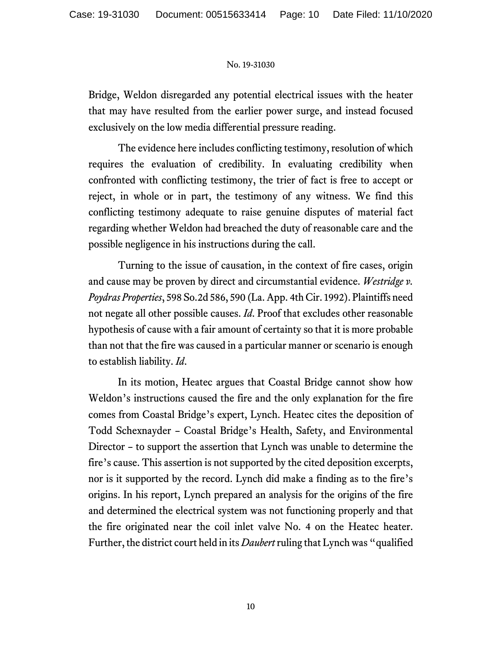Bridge, Weldon disregarded any potential electrical issues with the heater that may have resulted from the earlier power surge, and instead focused exclusively on the low media differential pressure reading.

The evidence here includes conflicting testimony, resolution of which requires the evaluation of credibility. In evaluating credibility when confronted with conflicting testimony, the trier of fact is free to accept or reject, in whole or in part, the testimony of any witness. We find this conflicting testimony adequate to raise genuine disputes of material fact regarding whether Weldon had breached the duty of reasonable care and the possible negligence in his instructions during the call.

Turning to the issue of causation, in the context of fire cases, origin and cause may be proven by direct and circumstantial evidence. *Westridge v. Poydras Properties*, 598 So.2d 586, 590 (La. App. 4th Cir. 1992). Plaintiffs need not negate all other possible causes. *Id*. Proof that excludes other reasonable hypothesis of cause with a fair amount of certainty so that it is more probable than not that the fire was caused in a particular manner or scenario is enough to establish liability. *Id*.

In its motion, Heatec argues that Coastal Bridge cannot show how Weldon's instructions caused the fire and the only explanation for the fire comes from Coastal Bridge's expert, Lynch. Heatec cites the deposition of Todd Schexnayder – Coastal Bridge's Health, Safety, and Environmental Director – to support the assertion that Lynch was unable to determine the fire's cause. This assertion is not supported by the cited deposition excerpts, nor is it supported by the record. Lynch did make a finding as to the fire's origins. In his report, Lynch prepared an analysis for the origins of the fire and determined the electrical system was not functioning properly and that the fire originated near the coil inlet valve No. 4 on the Heatec heater. Further, the district court held in its *Daubert*ruling that Lynch was "qualified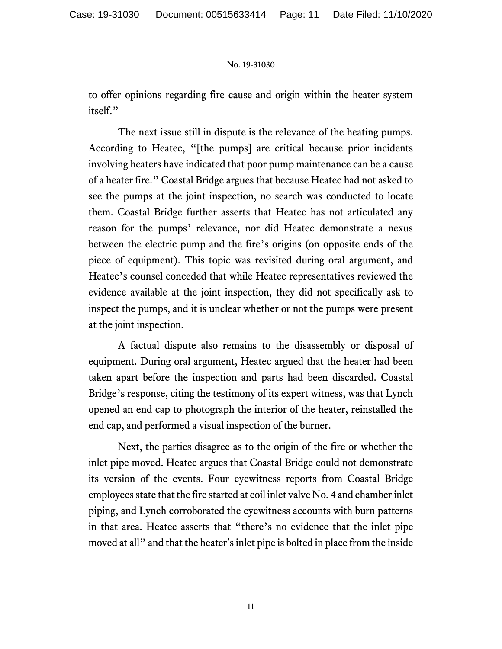to offer opinions regarding fire cause and origin within the heater system itself."

The next issue still in dispute is the relevance of the heating pumps. According to Heatec, "[the pumps] are critical because prior incidents involving heaters have indicated that poor pump maintenance can be a cause of a heater fire." Coastal Bridge argues that because Heatec had not asked to see the pumps at the joint inspection, no search was conducted to locate them. Coastal Bridge further asserts that Heatec has not articulated any reason for the pumps' relevance, nor did Heatec demonstrate a nexus between the electric pump and the fire's origins (on opposite ends of the piece of equipment). This topic was revisited during oral argument, and Heatec's counsel conceded that while Heatec representatives reviewed the evidence available at the joint inspection, they did not specifically ask to inspect the pumps, and it is unclear whether or not the pumps were present at the joint inspection.

A factual dispute also remains to the disassembly or disposal of equipment. During oral argument, Heatec argued that the heater had been taken apart before the inspection and parts had been discarded. Coastal Bridge's response, citing the testimony of its expert witness, was that Lynch opened an end cap to photograph the interior of the heater, reinstalled the end cap, and performed a visual inspection of the burner.

Next, the parties disagree as to the origin of the fire or whether the inlet pipe moved. Heatec argues that Coastal Bridge could not demonstrate its version of the events. Four eyewitness reports from Coastal Bridge employees state that the fire started at coil inlet valve No. 4 and chamber inlet piping, and Lynch corroborated the eyewitness accounts with burn patterns in that area. Heatec asserts that "there's no evidence that the inlet pipe moved at all" and that the heater's inlet pipe is bolted in place from the inside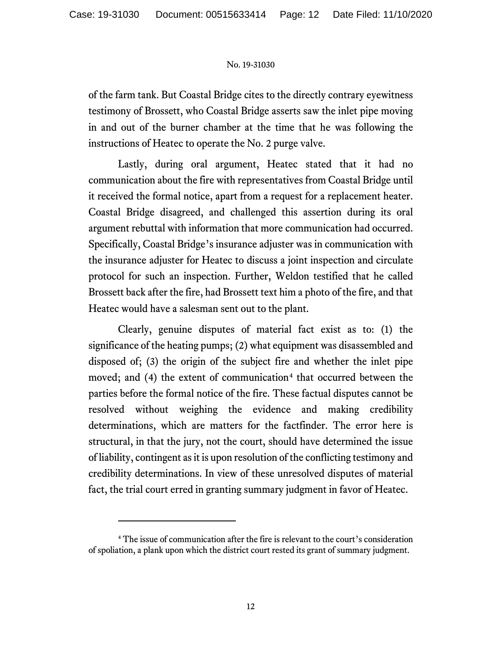of the farm tank. But Coastal Bridge cites to the directly contrary eyewitness testimony of Brossett, who Coastal Bridge asserts saw the inlet pipe moving in and out of the burner chamber at the time that he was following the instructions of Heatec to operate the No. 2 purge valve.

Lastly, during oral argument, Heatec stated that it had no communication about the fire with representatives from Coastal Bridge until it received the formal notice, apart from a request for a replacement heater. Coastal Bridge disagreed, and challenged this assertion during its oral argument rebuttal with information that more communication had occurred. Specifically, Coastal Bridge's insurance adjuster was in communication with the insurance adjuster for Heatec to discuss a joint inspection and circulate protocol for such an inspection. Further, Weldon testified that he called Brossett back after the fire, had Brossett text him a photo of the fire, and that Heatec would have a salesman sent out to the plant.

Clearly, genuine disputes of material fact exist as to: (1) the significance of the heating pumps; (2) what equipment was disassembled and disposed of; (3) the origin of the subject fire and whether the inlet pipe moved; and  $(4)$  $(4)$  $(4)$  the extent of communication<sup>4</sup> that occurred between the parties before the formal notice of the fire. These factual disputes cannot be resolved without weighing the evidence and making credibility determinations, which are matters for the factfinder. The error here is structural, in that the jury, not the court, should have determined the issue of liability, contingent as it is upon resolution of the conflicting testimony and credibility determinations. In view of these unresolved disputes of material fact, the trial court erred in granting summary judgment in favor of Heatec.

<span id="page-11-0"></span><sup>4</sup> The issue of communication after the fire is relevant to the court's consideration of spoliation, a plank upon which the district court rested its grant of summary judgment.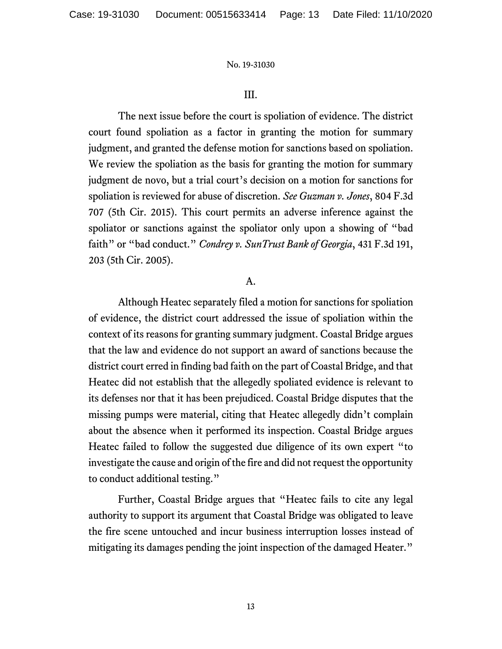#### III.

The next issue before the court is spoliation of evidence. The district court found spoliation as a factor in granting the motion for summary judgment, and granted the defense motion for sanctions based on spoliation. We review the spoliation as the basis for granting the motion for summary judgment de novo, but a trial court's decision on a motion for sanctions for spoliation is reviewed for abuse of discretion. *See Guzman v. Jones*, 804 F.3d 707 (5th Cir. 2015). This court permits an adverse inference against the spoliator or sanctions against the spoliator only upon a showing of "bad faith" or "bad conduct." *Condrey v. SunTrust Bank of Georgia*, 431 F.3d 191, 203 (5th Cir. 2005).

#### A.

Although Heatec separately filed a motion for sanctions for spoliation of evidence, the district court addressed the issue of spoliation within the context of its reasons for granting summary judgment. Coastal Bridge argues that the law and evidence do not support an award of sanctions because the district court erred in finding bad faith on the part of Coastal Bridge, and that Heatec did not establish that the allegedly spoliated evidence is relevant to its defenses nor that it has been prejudiced. Coastal Bridge disputes that the missing pumps were material, citing that Heatec allegedly didn't complain about the absence when it performed its inspection. Coastal Bridge argues Heatec failed to follow the suggested due diligence of its own expert "to investigate the cause and origin of the fire and did not request the opportunity to conduct additional testing."

Further, Coastal Bridge argues that "Heatec fails to cite any legal authority to support its argument that Coastal Bridge was obligated to leave the fire scene untouched and incur business interruption losses instead of mitigating its damages pending the joint inspection of the damaged Heater."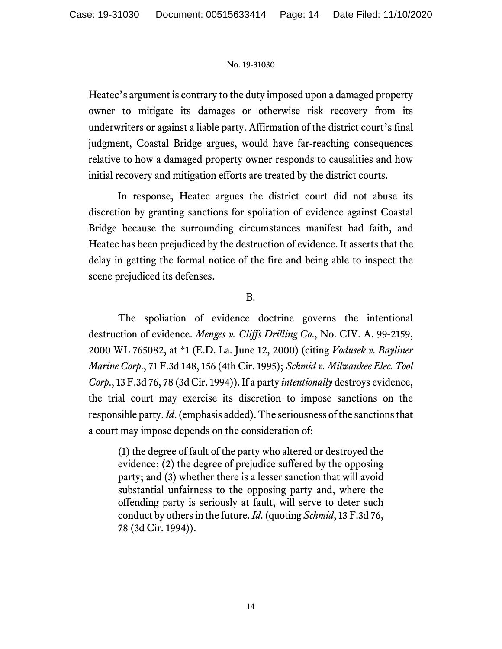Heatec's argument is contrary to the duty imposed upon a damaged property owner to mitigate its damages or otherwise risk recovery from its underwriters or against a liable party. Affirmation of the district court's final judgment, Coastal Bridge argues, would have far-reaching consequences relative to how a damaged property owner responds to causalities and how initial recovery and mitigation efforts are treated by the district courts.

In response, Heatec argues the district court did not abuse its discretion by granting sanctions for spoliation of evidence against Coastal Bridge because the surrounding circumstances manifest bad faith, and Heatec has been prejudiced by the destruction of evidence. It asserts that the delay in getting the formal notice of the fire and being able to inspect the scene prejudiced its defenses.

### B.

The spoliation of evidence doctrine governs the intentional destruction of evidence. *Menges v. Cliffs Drilling Co*., No. CIV. A. 99-2159, 2000 WL 765082, at \*1 (E.D. La. June 12, 2000) (citing *Vodusek v. Bayliner Marine Corp*., 71 F.3d 148, 156 (4th Cir. 1995); *Schmid v. Milwaukee Elec. Tool Corp*., 13 F.3d 76, 78 (3d Cir. 1994)). If a party *intentionally* destroys evidence, the trial court may exercise its discretion to impose sanctions on the responsible party. *Id*.(emphasis added). The seriousness of the sanctions that a court may impose depends on the consideration of:

(1) the degree of fault of the party who altered or destroyed the evidence; (2) the degree of prejudice suffered by the opposing party; and (3) whether there is a lesser sanction that will avoid substantial unfairness to the opposing party and, where the offending party is seriously at fault, will serve to deter such conduct by others in the future. *Id*. (quoting *Schmid*, 13 F.3d 76, 78 (3d Cir. 1994)).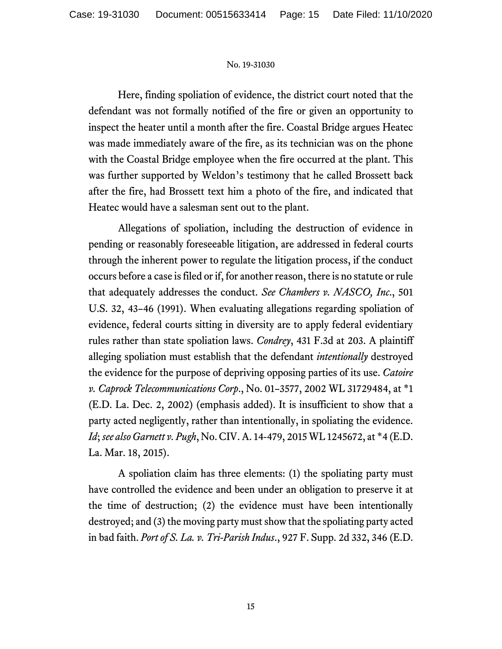Here, finding spoliation of evidence, the district court noted that the defendant was not formally notified of the fire or given an opportunity to inspect the heater until a month after the fire. Coastal Bridge argues Heatec was made immediately aware of the fire, as its technician was on the phone with the Coastal Bridge employee when the fire occurred at the plant. This was further supported by Weldon's testimony that he called Brossett back after the fire, had Brossett text him a photo of the fire, and indicated that Heatec would have a salesman sent out to the plant.

Allegations of spoliation, including the destruction of evidence in pending or reasonably foreseeable litigation, are addressed in federal courts through the inherent power to regulate the litigation process, if the conduct occurs before a case is filed or if, for another reason, there is no statute or rule that adequately addresses the conduct. *See Chambers v. NASCO, Inc*., 501 U.S. 32, 43–46 (1991). When evaluating allegations regarding spoliation of evidence, federal courts sitting in diversity are to apply federal evidentiary rules rather than state spoliation laws. *Condrey*, 431 F.3d at 203. A plaintiff alleging spoliation must establish that the defendant *intentionally* destroyed the evidence for the purpose of depriving opposing parties of its use. *Catoire v. Caprock Telecommunications Corp*., No. 01–3577, 2002 WL 31729484, at \*1 (E.D. La. Dec. 2, 2002) (emphasis added). It is insufficient to show that a party acted negligently, rather than intentionally, in spoliating the evidence. *Id*; *see also Garnett v. Pugh*, No. CIV. A. 14-479, 2015 WL 1245672, at \*4 (E.D. La. Mar. 18, 2015).

A spoliation claim has three elements: (1) the spoliating party must have controlled the evidence and been under an obligation to preserve it at the time of destruction; (2) the evidence must have been intentionally destroyed; and (3) the moving party must show that the spoliating party acted in bad faith. *Port of S. La. v. Tri-Parish Indus*., 927 F. Supp. 2d 332, 346 (E.D.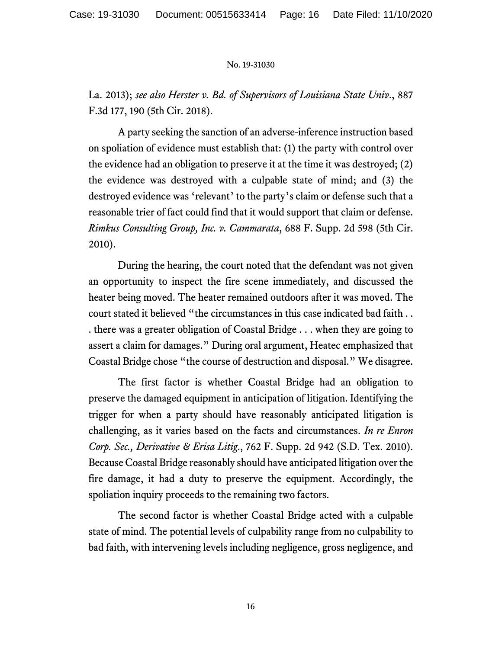La. 2013); *see also Herster v. Bd. of Supervisors of Louisiana State Univ*., 887 F.3d 177, 190 (5th Cir. 2018).

A party seeking the sanction of an adverse-inference instruction based on spoliation of evidence must establish that: (1) the party with control over the evidence had an obligation to preserve it at the time it was destroyed; (2) the evidence was destroyed with a culpable state of mind; and (3) the destroyed evidence was 'relevant' to the party's claim or defense such that a reasonable trier of fact could find that it would support that claim or defense. *Rimkus Consulting Group, Inc. v. Cammarata*, 688 F. Supp. 2d 598 (5th Cir. 2010).

During the hearing, the court noted that the defendant was not given an opportunity to inspect the fire scene immediately, and discussed the heater being moved. The heater remained outdoors after it was moved. The court stated it believed "the circumstances in this case indicated bad faith . . . there was a greater obligation of Coastal Bridge . . . when they are going to assert a claim for damages." During oral argument, Heatec emphasized that Coastal Bridge chose "the course of destruction and disposal." We disagree.

The first factor is whether Coastal Bridge had an obligation to preserve the damaged equipment in anticipation of litigation. Identifying the trigger for when a party should have reasonably anticipated litigation is challenging, as it varies based on the facts and circumstances. *In re Enron Corp. Sec., Derivative & Erisa Litig*., 762 F. Supp. 2d 942 (S.D. Tex. 2010). Because Coastal Bridge reasonably should have anticipated litigation over the fire damage, it had a duty to preserve the equipment. Accordingly, the spoliation inquiry proceeds to the remaining two factors.

The second factor is whether Coastal Bridge acted with a culpable state of mind. The potential levels of culpability range from no culpability to bad faith, with intervening levels including negligence, gross negligence, and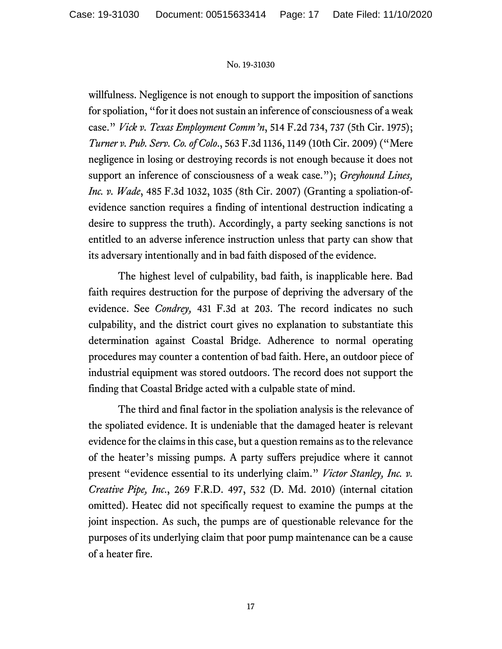willfulness. Negligence is not enough to support the imposition of sanctions for spoliation, "for it does not sustain an inference of consciousness of a weak case." *Vick v. Texas Employment Comm'n*, 514 F.2d 734, 737 (5th Cir. 1975); *Turner v. Pub. Serv. Co. of Colo*., 563 F.3d 1136, 1149 (10th Cir. 2009) ("Mere negligence in losing or destroying records is not enough because it does not support an inference of consciousness of a weak case."); *Greyhound Lines, Inc. v. Wade*, 485 F.3d 1032, 1035 (8th Cir. 2007) (Granting a spoliation-ofevidence sanction requires a finding of intentional destruction indicating a desire to suppress the truth). Accordingly, a party seeking sanctions is not entitled to an adverse inference instruction unless that party can show that its adversary intentionally and in bad faith disposed of the evidence.

The highest level of culpability, bad faith, is inapplicable here. Bad faith requires destruction for the purpose of depriving the adversary of the evidence. See *Condrey,* 431 F.3d at 203. The record indicates no such culpability, and the district court gives no explanation to substantiate this determination against Coastal Bridge. Adherence to normal operating procedures may counter a contention of bad faith. Here, an outdoor piece of industrial equipment was stored outdoors. The record does not support the finding that Coastal Bridge acted with a culpable state of mind.

The third and final factor in the spoliation analysis is the relevance of the spoliated evidence. It is undeniable that the damaged heater is relevant evidence for the claims in this case, but a question remains as to the relevance of the heater's missing pumps. A party suffers prejudice where it cannot present "evidence essential to its underlying claim." *Victor Stanley, Inc. v. Creative Pipe, Inc*., 269 F.R.D. 497, 532 (D. Md. 2010) (internal citation omitted). Heatec did not specifically request to examine the pumps at the joint inspection. As such, the pumps are of questionable relevance for the purposes of its underlying claim that poor pump maintenance can be a cause of a heater fire.